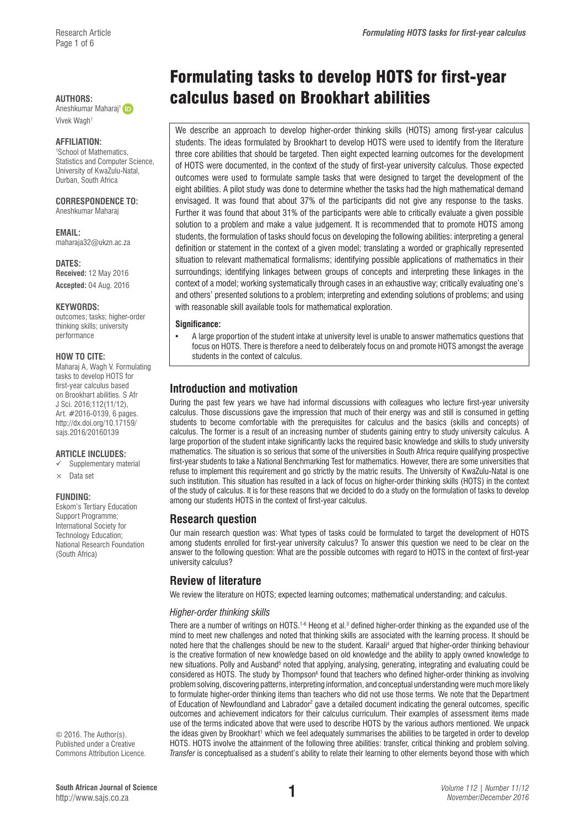Aneshkumar Maharaj<sup>1</sup> (D Vivek Wagh1

#### **AFFILIATION:**

1 School of Mathematics, Statistics and Computer Science, University of KwaZulu-Natal, Durban, South Africa

**CORRESPONDENCE TO:**  Aneshkumar Maharaj

**EMAIL:**  [maharaja32@ukzn.ac.za](mailto:maharaja32@ukzn.ac.za)

**DATES: Received:** 12 May 2016 **Accepted:** 04 Aug. 2016

#### **KEYWORDS:**

outcomes; tasks; higher-order thinking skills; university performance

#### **HOW TO CITE:**

Maharaj A, Wagh V. Formulating tasks to develop HOTS for first-year calculus based on Brookhart abilities. S Afr J Sci. 2016;112(11/12), Art. #2016-0139, 6 pages. [http://dx.doi.org/10.17159/](http://dx.doi.org/10.17159/sajs.2016/20160139) [sajs.2016/20160139](http://dx.doi.org/10.17159/sajs.2016/20160139)

#### **ARTICLE INCLUDES:**

Supplementary material

 $\times$  Data set

#### **FUNDING:**

Eskom's Tertiary Education Support Programme; International Society for Technology Education; National Research Foundation (South Africa)

© 2016. The Author(s). Published under a Creative Commons Attribution Licence.

# Formulating tasks to develop HOTS for first-year AUTHORS: **Calculus based on Brookhart abilities**

We describe an approach to develop higher-order thinking skills (HOTS) among first-year calculus students. The ideas formulated by Brookhart to develop HOTS were used to identify from the literature three core abilities that should be targeted. Then eight expected learning outcomes for the development of HOTS were documented, in the context of the study of first-year university calculus. Those expected outcomes were used to formulate sample tasks that were designed to target the development of the eight abilities. A pilot study was done to determine whether the tasks had the high mathematical demand envisaged. It was found that about 37% of the participants did not give any response to the tasks. Further it was found that about 31% of the participants were able to critically evaluate a given possible solution to a problem and make a value judgement. It is recommended that to promote HOTS among students, the formulation of tasks should focus on developing the following abilities: interpreting a general definition or statement in the context of a given model; translating a worded or graphically represented situation to relevant mathematical formalisms; identifying possible applications of mathematics in their surroundings; identifying linkages between groups of concepts and interpreting these linkages in the context of a model; working systematically through cases in an exhaustive way; critically evaluating one's and others' presented solutions to a problem; interpreting and extending solutions of problems; and using with reasonable skill available tools for mathematical exploration.

#### **Significance:**

• A large proportion of the student intake at university level is unable to answer mathematics questions that focus on HOTS. There is therefore a need to deliberately focus on and promote HOTS amongst the average students in the context of calculus.

# **Introduction and motivation**

During the past few years we have had informal discussions with colleagues who lecture first-year university calculus. Those discussions gave the impression that much of their energy was and still is consumed in getting students to become comfortable with the prerequisites for calculus and the basics (skills and concepts) of calculus. The former is a result of an increasing number of students gaining entry to study university calculus. A large proportion of the student intake significantly lacks the required basic knowledge and skills to study university mathematics. The situation is so serious that some of the universities in South Africa require qualifying prospective first-year students to take a National Benchmarking Test for mathematics. However, there are some universities that refuse to implement this requirement and go strictly by the matric results. The University of KwaZulu-Natal is one such institution. This situation has resulted in a lack of focus on higher-order thinking skills (HOTS) in the context of the study of calculus. It is for these reasons that we decided to do a study on the formulation of tasks to develop among our students HOTS in the context of first-year calculus.

# **Research question**

Our main research question was: What types of tasks could be formulated to target the development of HOTS among students enrolled for first-year university calculus? To answer this question we need to be clear on the answer to the following question: What are the possible outcomes with regard to HOTS in the context of first-year university calculus?

# **Review of literature**

We review the literature on HOTS; expected learning outcomes; mathematical understanding; and calculus.

# *Higher-order thinking skills*

There are a number of writings on HOTS.<sup>1-6</sup> Heong et al.<sup>3</sup> defined higher-order thinking as the expanded use of the mind to meet new challenges and noted that thinking skills are associated with the learning process. It should be noted here that the challenges should be new to the student. Karaali<sup>4</sup> argued that higher-order thinking behaviour is the creative formation of new knowledge based on old knowledge and the ability to apply owned knowledge to new situations. Polly and Ausband<sup>5</sup> noted that applying, analysing, generating, integrating and evaluating could be considered as HOTS. The study by Thompson<sup>6</sup> found that teachers who defined higher-order thinking as involving problem solving, discovering patterns, interpreting information, and conceptual understanding were much more likely to formulate higher-order thinking items than teachers who did not use those terms. We note that the Department of Education of Newfoundland and Labrador<sup>2</sup> gave a detailed document indicating the general outcomes, specific outcomes and achievement indicators for their calculus curriculum. Their examples of assessment items made use of the terms indicated above that were used to describe HOTS by the various authors mentioned. We unpack the ideas given by Brookhart<sup>1</sup> which we feel adequately summarises the abilities to be targeted in order to develop HOTS. HOTS involve the attainment of the following three abilities: transfer, critical thinking and problem solving. *Transfer* is conceptualised as a student's ability to relate their learning to other elements beyond those with which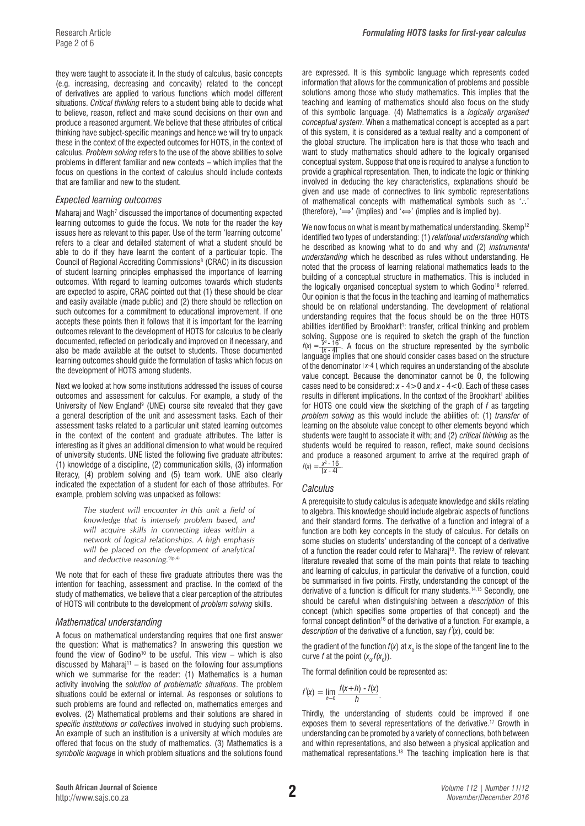they were taught to associate it. In the study of calculus, basic concepts (e.g. increasing, decreasing and concavity) related to the concept of derivatives are applied to various functions which model different situations. *Critical thinking* refers to a student being able to decide what to believe, reason, reflect and make sound decisions on their own and produce a reasoned argument. We believe that these attributes of critical thinking have subject-specific meanings and hence we will try to unpack these in the context of the expected outcomes for HOTS, in the context of calculus. *Problem solving* refers to the use of the above abilities to solve problems in different familiar and new contexts – which implies that the focus on questions in the context of calculus should include contexts that are familiar and new to the student.

#### *Expected learning outcomes*

Maharaj and Wagh<sup>7</sup> discussed the importance of documenting expected learning outcomes to guide the focus. We note for the reader the key issues here as relevant to this paper. Use of the term 'learning outcome' refers to a clear and detailed statement of what a student should be able to do if they have learnt the content of a particular topic. The Council of Regional Accrediting Commissions<sup>8</sup> (CRAC) in its discussion of student learning principles emphasised the importance of learning outcomes. With regard to learning outcomes towards which students are expected to aspire, CRAC pointed out that (1) these should be clear and easily available (made public) and (2) there should be reflection on such outcomes for a commitment to educational improvement. If one accepts these points then it follows that it is important for the learning outcomes relevant to the development of HOTS for calculus to be clearly documented, reflected on periodically and improved on if necessary, and also be made available at the outset to students. Those documented learning outcomes should guide the formulation of tasks which focus on the development of HOTS among students.

Next we looked at how some institutions addressed the issues of course outcomes and assessment for calculus. For example, a study of the University of New England<sup>9</sup> (UNE) course site revealed that they gave a general description of the unit and assessment tasks. Each of their assessment tasks related to a particular unit stated learning outcomes in the context of the content and graduate attributes. The latter is interesting as it gives an additional dimension to what would be required of university students. UNE listed the following five graduate attributes: (1) knowledge of a discipline, (2) communication skills, (3) information literacy, (4) problem solving and (5) team work. UNE also clearly indicated the expectation of a student for each of those attributes. For example, problem solving was unpacked as follows:

> *The student will encounter in this unit a field of knowledge that is intensely problem based, and will acquire skills in connecting ideas within a network of logical relationships. A high emphasis will be placed on the development of analytical*  and deductive reasoning.<sup>9(p.4)</sup>

We note that for each of these five graduate attributes there was the intention for teaching, assessment and practise. In the context of the study of mathematics, we believe that a clear perception of the attributes of HOTS will contribute to the development of *problem solving* skills.

### *Mathematical understanding*

A focus on mathematical understanding requires that one first answer the question: What is mathematics? In answering this question we found the view of Godino<sup>10</sup> to be useful. This view  $-$  which is also discussed by Maharaj<sup>11</sup> – is based on the following four assumptions which we summarise for the reader: (1) Mathematics is a human activity involving the *solution of problematic situations*. The problem situations could be external or internal. As responses or solutions to such problems are found and reflected on, mathematics emerges and evolves. (2) Mathematical problems and their solutions are shared in *specific institutions or collectives* involved in studying such problems. An example of such an institution is a university at which modules are offered that focus on the study of mathematics. (3) Mathematics is a *symbolic language* in which problem situations and the solutions found

are expressed. It is this symbolic language which represents coded information that allows for the communication of problems and possible solutions among those who study mathematics. This implies that the teaching and learning of mathematics should also focus on the study of this symbolic language. (4) Mathematics is a *logically organised conceptual system*. When a mathematical concept is accepted as a part of this system, it is considered as a textual reality and a component of the global structure. The implication here is that those who teach and want to study mathematics should adhere to the logically organised conceptual system. Suppose that one is required to analyse a function to provide a graphical representation. Then, to indicate the logic or thinking involved in deducing the key characteristics, explanations should be given and use made of connectives to link symbolic representations of mathematical concepts with mathematical symbols such as '*∴*' (therefore), ' $\Rightarrow$ ' (implies) and ' $\Leftrightarrow$ ' (implies and is implied by).

We now focus on what is meant by mathematical understanding. Skemp<sup>12</sup> identified two types of understanding: (1) *relational understanding* which he described as knowing what to do and why and (2) *instrumental understanding* which he described as rules without understanding. He noted that the process of learning relational mathematics leads to the building of a conceptual structure in mathematics. This is included in the logically organised conceptual system to which Godino<sup>10</sup> referred. Our opinion is that the focus in the teaching and learning of mathematics should be on relational understanding. The development of relational understanding requires that the focus should be on the three HOTS abilities identified by Brookhart<sup>1</sup>: transfer, critical thinking and problem solving. Suppose one is required to sketch the graph of the function  $f(x) = \frac{x^2 - 16}{|x - 4|}$ . A focus on the structure represented by the symbolic language implies that one should consider cases based on the structure of the denominator *x*-4 , which requires an understanding of the absolute value concept. Because the denominator cannot be 0, the following cases need to be considered: *x* - 4>0 and *x* - 4<0. Each of these cases results in different implications. In the context of the Brookhart<sup>1</sup> abilities for HOTS one could view the sketching of the graph of *f* as targeting *problem solving* as this would include the abilities of: (1) *transfer* of learning on the absolute value concept to other elements beyond which students were taught to associate it with; and (2) *critical thinking* as the students would be required to reason, reflect, make sound decisions and produce a reasoned argument to arrive at the required graph of  $f(x) = \frac{x^2 - 16}{|x - 4|}$ .

### *Calculus*

A prerequisite to study calculus is adequate knowledge and skills relating to algebra. This knowledge should include algebraic aspects of functions and their standard forms. The derivative of a function and integral of a function are both key concepts in the study of calculus. For details on some studies on students' understanding of the concept of a derivative of a function the reader could refer to Maharaj<sup>13</sup>. The review of relevant literature revealed that some of the main points that relate to teaching and learning of calculus, in particular the derivative of a function, could be summarised in five points. Firstly, understanding the concept of the derivative of a function is difficult for many students.<sup>14,15</sup> Secondly, one should be careful when distinguishing between a *description* of this concept (which specifies some properties of that concept) and the formal concept definition<sup>16</sup> of the derivative of a function. For example, a *description* of the derivative of a function, say *f*' (*x*), could be:

the gradient of the function  $f(x)$  at  $x_{0}$  is the slope of the tangent line to the curve *f* at the point  $(x_0, f(x_0))$ .

The formal definition could be represented as:

$$
f'(x) = \lim_{h \to 0} \frac{f(x+h) - f(x)}{h}.
$$

Thirdly, the understanding of students could be improved if one exposes them to several representations of the derivative.<sup>17</sup> Growth in understanding can be promoted by a variety of connections, both between and within representations, and also between a physical application and mathematical representations.18 The teaching implication here is that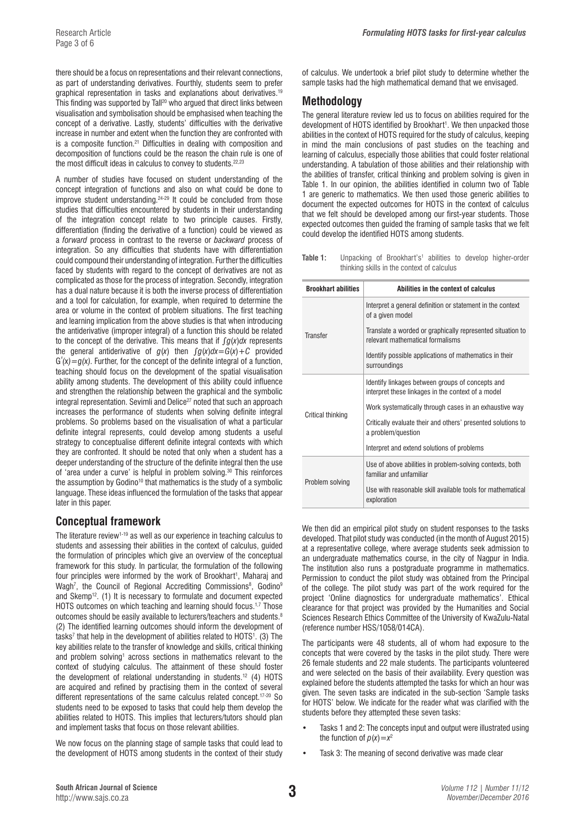there should be a focus on representations and their relevant connections, as part of understanding derivatives. Fourthly, students seem to prefer graphical representation in tasks and explanations about derivatives.19 This finding was supported by Tall<sup>20</sup> who argued that direct links between visualisation and symbolisation should be emphasised when teaching the concept of a derivative. Lastly, students' difficulties with the derivative increase in number and extent when the function they are confronted with is a composite function.<sup>21</sup> Difficulties in dealing with composition and decomposition of functions could be the reason the chain rule is one of the most difficult ideas in calculus to convey to students.<sup>22,23</sup>

A number of studies have focused on student understanding of the concept integration of functions and also on what could be done to improve student understanding.24-29 It could be concluded from those studies that difficulties encountered by students in their understanding of the integration concept relate to two principle causes. Firstly, differentiation (finding the derivative of a function) could be viewed as a *forward* process in contrast to the reverse or *backward* process of integration. So any difficulties that students have with differentiation could compound their understanding of integration. Further the difficulties faced by students with regard to the concept of derivatives are not as complicated as those for the process of integration. Secondly, integration has a dual nature because it is both the inverse process of differentiation and a tool for calculation, for example, when required to determine the area or volume in the context of problem situations. The first teaching and learning implication from the above studies is that when introducing the antiderivative (improper integral) of a function this should be related to the concept of the derivative. This means that if *∫g*(*x*)*dx* represents the general antiderivative of  $g(x)$  then  $\int g(x) dx = G(x) + C$  provided  $G'(x) = g(x)$ . Further, for the concept of the definite integral of a function, teaching should focus on the development of the spatial visualisation ability among students. The development of this ability could influence and strengthen the relationship between the graphical and the symbolic integral representation. Sevimli and Delice<sup>27</sup> noted that such an approach increases the performance of students when solving definite integral problems. So problems based on the visualisation of what a particular definite integral represents, could develop among students a useful strategy to conceptualise different definite integral contexts with which they are confronted. It should be noted that only when a student has a deeper understanding of the structure of the definite integral then the use of 'area under a curve' is helpful in problem solving.<sup>30</sup> This reinforces the assumption by Godino<sup>10</sup> that mathematics is the study of a symbolic language. These ideas influenced the formulation of the tasks that appear later in this paper.

# **Conceptual framework**

The literature review<sup>1-19</sup> as well as our experience in teaching calculus to students and assessing their abilities in the context of calculus, guided the formulation of principles which give an overview of the conceptual framework for this study. In particular, the formulation of the following four principles were informed by the work of Brookhart<sup>1</sup>, Maharaj and Wagh<sup>7</sup>, the Council of Regional Accrediting Commissions<sup>8</sup>, Godino<sup>9</sup> and Skemp<sup>12</sup>. (1) It is necessary to formulate and document expected HOTS outcomes on which teaching and learning should focus.<sup>1,7</sup> Those outcomes should be easily available to lecturers/teachers and students.<sup>8</sup> (2) The identified learning outcomes should inform the development of tasks $^7$  that help in the development of abilities related to HOTS $^1$ . (3) The key abilities relate to the transfer of knowledge and skills, critical thinking and problem solving<sup>1</sup> across sections in mathematics relevant to the context of studying calculus. The attainment of these should foster the development of relational understanding in students.12 (4) HOTS are acquired and refined by practising them in the context of several different representations of the same calculus related concept.<sup>17-20</sup> So students need to be exposed to tasks that could help them develop the abilities related to HOTS. This implies that lecturers/tutors should plan and implement tasks that focus on those relevant abilities.

We now focus on the planning stage of sample tasks that could lead to the development of HOTS among students in the context of their study of calculus. We undertook a brief pilot study to determine whether the sample tasks had the high mathematical demand that we envisaged.

# **Methodology**

The general literature review led us to focus on abilities required for the development of HOTS identified by Brookhart<sup>1</sup>. We then unpacked those abilities in the context of HOTS required for the study of calculus, keeping in mind the main conclusions of past studies on the teaching and learning of calculus, especially those abilities that could foster relational understanding. A tabulation of those abilities and their relationship with the abilities of transfer, critical thinking and problem solving is given in Table 1. In our opinion, the abilities identified in column two of Table 1 are generic to mathematics. We then used those generic abilities to document the expected outcomes for HOTS in the context of calculus that we felt should be developed among our first-year students. Those expected outcomes then guided the framing of sample tasks that we felt could develop the identified HOTS among students.

**Table 1:** Unpacking of Brookhart's<sup>1</sup> abilities to develop higher-order thinking skills in the context of calculus

| <b>Brookhart abilities</b> | Abilities in the context of calculus                                                                   |  |  |
|----------------------------|--------------------------------------------------------------------------------------------------------|--|--|
|                            | Interpret a general definition or statement in the context<br>of a given model                         |  |  |
| <b>Transfer</b>            | Translate a worded or graphically represented situation to<br>relevant mathematical formalisms         |  |  |
|                            | Identify possible applications of mathematics in their<br>surroundings                                 |  |  |
| Critical thinking          | Identify linkages between groups of concepts and<br>interpret these linkages in the context of a model |  |  |
|                            | Work systematically through cases in an exhaustive way                                                 |  |  |
|                            | Critically evaluate their and others' presented solutions to<br>a problem/question                     |  |  |
|                            | Interpret and extend solutions of problems                                                             |  |  |
| Problem solving            | Use of above abilities in problem-solving contexts, both<br>familiar and unfamiliar                    |  |  |
|                            | Use with reasonable skill available tools for mathematical<br>exploration                              |  |  |

We then did an empirical pilot study on student responses to the tasks developed. That pilot study was conducted (in the month of August 2015) at a representative college, where average students seek admission to an undergraduate mathematics course, in the city of Nagpur in India. The institution also runs a postgraduate programme in mathematics. Permission to conduct the pilot study was obtained from the Principal of the college. The pilot study was part of the work required for the project 'Online diagnostics for undergraduate mathematics'. Ethical clearance for that project was provided by the Humanities and Social Sciences Research Ethics Committee of the University of KwaZulu-Natal (reference number HSS/1058/014CA).

The participants were 48 students, all of whom had exposure to the concepts that were covered by the tasks in the pilot study. There were 26 female students and 22 male students. The participants volunteered and were selected on the basis of their availability. Every question was explained before the students attempted the tasks for which an hour was given. The seven tasks are indicated in the sub-section 'Sample tasks for HOTS' below. We indicate for the reader what was clarified with the students before they attempted these seven tasks:

- Tasks 1 and 2: The concepts input and output were illustrated using the function of  $p(x)=x^2$
- Task 3: The meaning of second derivative was made clear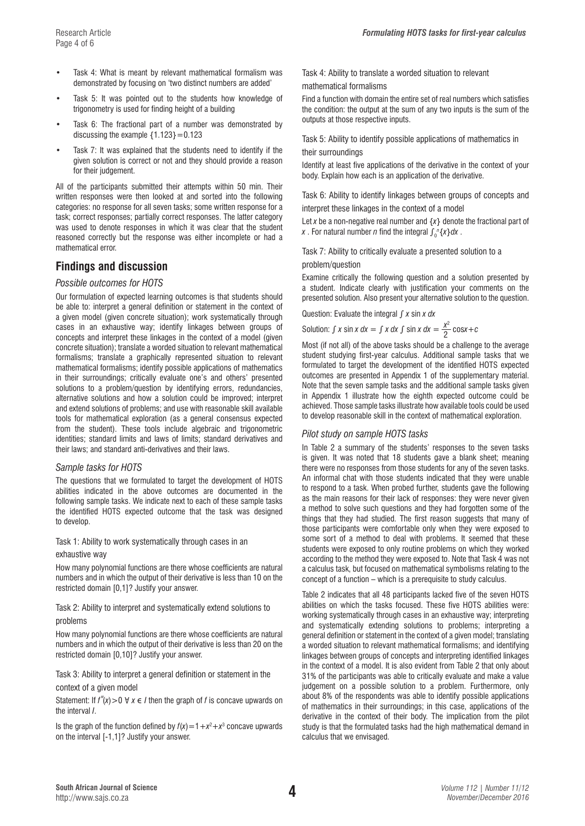- Task 4: What is meant by relevant mathematical formalism was demonstrated by focusing on 'two distinct numbers are added'
- Task 5: It was pointed out to the students how knowledge of trigonometry is used for finding height of a building
- Task 6: The fractional part of a number was demonstrated by discussing the example  ${1.123} = 0.123$
- Task 7: It was explained that the students need to identify if the given solution is correct or not and they should provide a reason for their judgement.

All of the participants submitted their attempts within 50 min. Their written responses were then looked at and sorted into the following categories: no response for all seven tasks; some written response for a task; correct responses; partially correct responses. The latter category was used to denote responses in which it was clear that the student reasoned correctly but the response was either incomplete or had a mathematical error.

# **Findings and discussion**

#### *Possible outcomes for HOTS*

Our formulation of expected learning outcomes is that students should be able to: interpret a general definition or statement in the context of a given model (given concrete situation); work systematically through cases in an exhaustive way; identify linkages between groups of concepts and interpret these linkages in the context of a model (given concrete situation); translate a worded situation to relevant mathematical formalisms; translate a graphically represented situation to relevant mathematical formalisms; identify possible applications of mathematics in their surroundings; critically evaluate one's and others' presented solutions to a problem/question by identifying errors, redundancies, alternative solutions and how a solution could be improved; interpret and extend solutions of problems; and use with reasonable skill available tools for mathematical exploration (as a general consensus expected from the student). These tools include algebraic and trigonometric identities; standard limits and laws of limits; standard derivatives and their laws; and standard anti-derivatives and their laws.

#### *Sample tasks for HOTS*

The questions that we formulated to target the development of HOTS abilities indicated in the above outcomes are documented in the following sample tasks. We indicate next to each of these sample tasks the identified HOTS expected outcome that the task was designed to develop.

Task 1: Ability to work systematically through cases in an

#### exhaustive way

How many polynomial functions are there whose coefficients are natural numbers and in which the output of their derivative is less than 10 on the restricted domain [0,1]? Justify your answer.

Task 2: Ability to interpret and systematically extend solutions to problems

How many polynomial functions are there whose coefficients are natural numbers and in which the output of their derivative is less than 20 on the restricted domain [0,10]? Justify your answer.

Task 3: Ability to interpret a general definition or statement in the context of a given model

Statement: If  $f''(x) > 0 \forall x \in I$  then the graph of *f* is concave upwards on the interval *I*.

Is the graph of the function defined by  $f(x)=1+x^2+x^3$  concave upwards on the interval [-1,1]? Justify your answer.

Task 4: Ability to translate a worded situation to relevant mathematical formalisms

Find a function with domain the entire set of real numbers which satisfies the condition: the output at the sum of any two inputs is the sum of the outputs at those respective inputs.

Task 5: Ability to identify possible applications of mathematics in their surroundings

Identify at least five applications of the derivative in the context of your body. Explain how each is an application of the derivative.

Task 6: Ability to identify linkages between groups of concepts and interpret these linkages in the context of a model

Let *x* be a non-negative real number and {*x*} denote the fractional part of *x* . For natural number *n* find the integral *∫*<sup>0</sup> *n* {*x*}*dx* .

Task 7: Ability to critically evaluate a presented solution to a problem/question

Examine critically the following question and a solution presented by a student. Indicate clearly with justification your comments on the presented solution. Also present your alternative solution to the question.

Question: Evaluate the integral *∫ x* sin *x dx*

Solution: 
$$
\int x \sin x \, dx = \int x \, dx \int \sin x \, dx = \frac{x^2}{2} \cos x + c
$$

Most (if not all) of the above tasks should be a challenge to the average student studying first-year calculus. Additional sample tasks that we formulated to target the development of the identified HOTS expected outcomes are presented in Appendix 1 of the supplementary material. Note that the seven sample tasks and the additional sample tasks given in Appendix 1 illustrate how the eighth expected outcome could be achieved. Those sample tasks illustrate how available tools could be used to develop reasonable skill in the context of mathematical exploration.

#### *Pilot study on sample HOTS tasks*

In Table 2 a summary of the students' responses to the seven tasks is given. It was noted that 18 students gave a blank sheet; meaning there were no responses from those students for any of the seven tasks. An informal chat with those students indicated that they were unable to respond to a task. When probed further, students gave the following as the main reasons for their lack of responses: they were never given a method to solve such questions and they had forgotten some of the things that they had studied. The first reason suggests that many of those participants were comfortable only when they were exposed to some sort of a method to deal with problems. It seemed that these students were exposed to only routine problems on which they worked according to the method they were exposed to. Note that Task 4 was not a calculus task, but focused on mathematical symbolisms relating to the concept of a function – which is a prerequisite to study calculus.

Table 2 indicates that all 48 participants lacked five of the seven HOTS abilities on which the tasks focused. These five HOTS abilities were: working systematically through cases in an exhaustive way; interpreting and systematically extending solutions to problems; interpreting a general definition or statement in the context of a given model; translating a worded situation to relevant mathematical formalisms; and identifying linkages between groups of concepts and interpreting identified linkages in the context of a model. It is also evident from Table 2 that only about 31% of the participants was able to critically evaluate and make a value judgement on a possible solution to a problem. Furthermore, only about 8% of the respondents was able to identify possible applications of mathematics in their surroundings; in this case, applications of the derivative in the context of their body. The implication from the pilot study is that the formulated tasks had the high mathematical demand in calculus that we envisaged.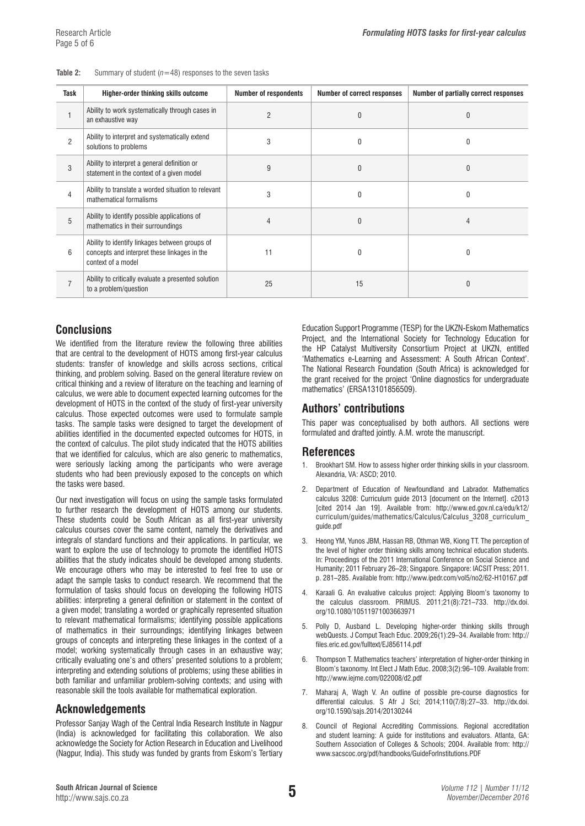| Task           | Higher-order thinking skills outcome                                                                                 | <b>Number of respondents</b> | <b>Number of correct responses</b> | Number of partially correct responses |
|----------------|----------------------------------------------------------------------------------------------------------------------|------------------------------|------------------------------------|---------------------------------------|
|                | Ability to work systematically through cases in<br>an exhaustive way                                                 | $\overline{2}$               | 0                                  | 0                                     |
| $\overline{2}$ | Ability to interpret and systematically extend<br>solutions to problems                                              | 3                            | 0                                  | 0                                     |
| 3              | Ability to interpret a general definition or<br>statement in the context of a given model                            | 9                            | 0                                  | $\mathbf{0}$                          |
| 4              | Ability to translate a worded situation to relevant<br>mathematical formalisms                                       | 3                            | 0                                  | 0                                     |
| 5              | Ability to identify possible applications of<br>mathematics in their surroundings                                    |                              | 0                                  | 4                                     |
| 6              | Ability to identify linkages between groups of<br>concepts and interpret these linkages in the<br>context of a model | 11                           | 0                                  | 0                                     |
|                | Ability to critically evaluate a presented solution<br>to a problem/question                                         | 25                           | 15                                 | 0                                     |

# **Conclusions**

We identified from the literature review the following three abilities that are central to the development of HOTS among first-year calculus students: transfer of knowledge and skills across sections, critical thinking, and problem solving. Based on the general literature review on critical thinking and a review of literature on the teaching and learning of calculus, we were able to document expected learning outcomes for the development of HOTS in the context of the study of first-year university calculus. Those expected outcomes were used to formulate sample tasks. The sample tasks were designed to target the development of abilities identified in the documented expected outcomes for HOTS, in the context of calculus. The pilot study indicated that the HOTS abilities that we identified for calculus, which are also generic to mathematics, were seriously lacking among the participants who were average students who had been previously exposed to the concepts on which the tasks were based.

Our next investigation will focus on using the sample tasks formulated to further research the development of HOTS among our students. These students could be South African as all first-year university calculus courses cover the same content, namely the derivatives and integrals of standard functions and their applications. In particular, we want to explore the use of technology to promote the identified HOTS abilities that the study indicates should be developed among students. We encourage others who may be interested to feel free to use or adapt the sample tasks to conduct research. We recommend that the formulation of tasks should focus on developing the following HOTS abilities: interpreting a general definition or statement in the context of a given model; translating a worded or graphically represented situation to relevant mathematical formalisms; identifying possible applications of mathematics in their surroundings; identifying linkages between groups of concepts and interpreting these linkages in the context of a model; working systematically through cases in an exhaustive way; critically evaluating one's and others' presented solutions to a problem; interpreting and extending solutions of problems; using these abilities in both familiar and unfamiliar problem-solving contexts; and using with reasonable skill the tools available for mathematical exploration.

# **Acknowledgements**

Professor Sanjay Wagh of the Central India Research Institute in Nagpur (India) is acknowledged for facilitating this collaboration. We also acknowledge the Society for Action Research in Education and Livelihood (Nagpur, India). This study was funded by grants from Eskom's Tertiary Education Support Programme (TESP) for the UKZN-Eskom Mathematics Project, and the International Society for Technology Education for the HP Catalyst Multiversity Consortium Project at UKZN, entitled 'Mathematics e-Learning and Assessment: A South African Context'. The National Research Foundation (South Africa) is acknowledged for the grant received for the project 'Online diagnostics for undergraduate mathematics' (ERSA13101856509).

# **Authors' contributions**

This paper was conceptualised by both authors. All sections were formulated and drafted jointly. A.M. wrote the manuscript.

### **References**

- 1. Brookhart SM. How to assess higher order thinking skills in your classroom. Alexandria, VA: ASCD; 2010.
- 2. Department of Education of Newfoundland and Labrador. Mathematics calculus 3208: Curriculum guide 2013 [document on the Internet]. c2013 [cited 2014 Jan 19]. Available from: [http://www.ed.gov.nl.ca/edu/k12/](http://www.ed.gov.nl.ca/edu/k12/curriculum/guides/mathematics/Calculus/Calculus_3208_curriculum_guide.pdf) [curriculum/guides/mathematics/Calculus/Calculus\\_3208\\_curriculum\\_](http://www.ed.gov.nl.ca/edu/k12/curriculum/guides/mathematics/Calculus/Calculus_3208_curriculum_guide.pdf) [guide.pdf](http://www.ed.gov.nl.ca/edu/k12/curriculum/guides/mathematics/Calculus/Calculus_3208_curriculum_guide.pdf)
- 3. Heong YM, Yunos JBM, Hassan RB, Othman WB, Kiong TT. The perception of the level of higher order thinking skills among technical education students. In: Proceedings of the 2011 International Conference on Social Science and Humanity; 2011 February 26–28; Singapore. Singapore: IACSIT Press; 2011. p. 281–285. Available from: <http://www.ipedr.com/vol5/no2/62-H10167.pdf>
- 4. Karaali G. An evaluative calculus project: Applying Bloom's taxonomy to the calculus classroom. PRIMUS. 2011;21(8):721–733. [http://dx.doi.](http://dx.doi.org/10.1080/10511971003663971) [org/10.1080/10511971003663971](http://dx.doi.org/10.1080/10511971003663971)
- 5. Polly D, Ausband L. Developing higher-order thinking skills through webQuests. J Comput Teach Educ. 2009;26(1):29–34. Available from: [http://](http://files.eric.ed.gov/fulltext/EJ856114.pdf) [files.eric.ed.gov/fulltext/EJ856114.pdf](http://files.eric.ed.gov/fulltext/EJ856114.pdf)
- 6. Thompson T. Mathematics teachers' interpretation of higher-order thinking in Bloom's taxonomy. Int Elect J Math Educ. 2008;3(2):96–109. Available from: <http://www.iejme.com/022008/d2.pdf>
- 7. Maharaj A, Wagh V. An outline of possible pre-course diagnostics for differential calculus. S Afr J Sci; 2014;110(7/8):27–33. [http://dx.doi.](http://dx.doi.org/10.1590/sajs.2014/20130244) [org/10.1590/sajs.2014/20130244](http://dx.doi.org/10.1590/sajs.2014/20130244)
- 8. Council of Regional Accrediting Commissions. Regional accreditation and student learning: A guide for institutions and evaluators. Atlanta, GA: Southern Association of Colleges & Schools: 2004. Available from: [http://](http://www.sacscoc.org/pdf/handbooks/GuideForInstitutions.PDF) [www.sacscoc.org/pdf/handbooks/GuideForInstitutions.PDF](http://www.sacscoc.org/pdf/handbooks/GuideForInstitutions.PDF)